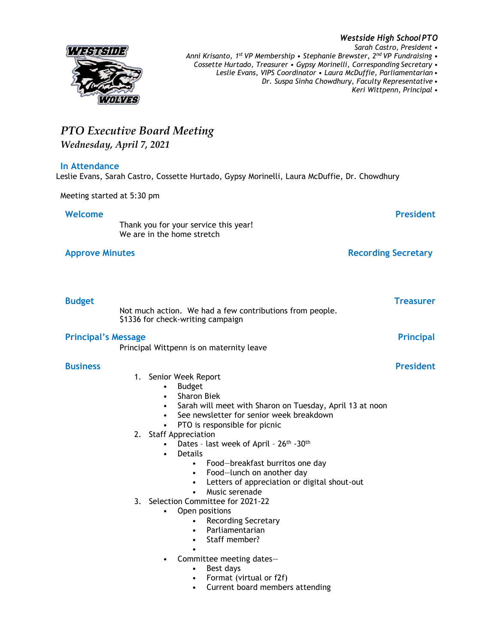

*Westside High SchoolPTO Sarah Castro, President • Anni Krisanto, 1st VP Membership • Stephanie Brewster, 2nd VP Fundraising • Cossette Hurtado, Treasurer • Gypsy Morinelli, Corresponding Secretary • Leslie Evans, VIPS Coordinator • Laura McDuffie, Parliamentarian • Dr. Suspa Sinha Chowdhury, Faculty Representative •*

*Keri Wittpenn, Principal •*

## *PTO Executive Board Meeting Wednesday, April 7, 2021* **In Attendance** Leslie Evans, Sarah Castro, Cossette Hurtado, Gypsy Morinelli, Laura McDuffie, Dr. Chowdhury Meeting started at 5:30 pm **Welcome President** Thank you for your service this year! We are in the home stretch **Approve Minutes Recording Secretary Budget Treasurer** Not much action. We had a few contributions from people. \$1336 for check-writing campaign **Principal's Message Principal** Principal Wittpenn is on maternity leave **Business President** 1. Senior Week Report • Budget • Sharon Biek Sarah will meet with Sharon on Tuesday, April 13 at noon See newsletter for senior week breakdown PTO is responsible for picnic 2. Staff Appreciation • Dates - last week of April - 26<sup>th</sup> -30<sup>th</sup> **Details** • Food—breakfast burritos one day • Food—lunch on another day • Letters of appreciation or digital shout-out • Music serenade 3. Selection Committee for 2021-22 • Open positions • Recording Secretary • Parliamentarian • Staff member? • • Committee meeting dates— • Best days • Format (virtual or f2f) • Current board members attending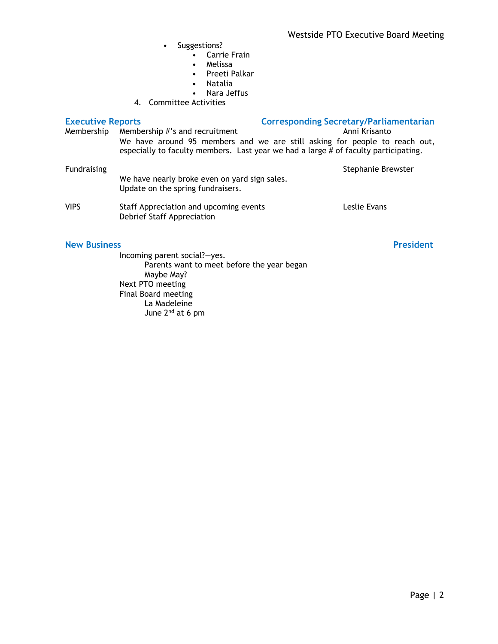- Suggestions?
	- Carrie Frain
	- Melissa
	- Preeti Palkar
	- Natalia
	- Nara Jeffus
- 4. Committee Activities

| <b>Executive Reports</b> |                                                                                    | <b>Corresponding Secretary/Parliamentarian</b>                                                                                                                    |
|--------------------------|------------------------------------------------------------------------------------|-------------------------------------------------------------------------------------------------------------------------------------------------------------------|
| Membership               | Membership #'s and recruitment                                                     | Anni Krisanto                                                                                                                                                     |
|                          |                                                                                    | We have around 95 members and we are still asking for people to reach out,<br>especially to faculty members. Last year we had a large # of faculty participating. |
| <b>Fundraising</b>       |                                                                                    | Stephanie Brewster                                                                                                                                                |
|                          | We have nearly broke even on yard sign sales.<br>Update on the spring fundraisers. |                                                                                                                                                                   |
| <b>VIPS</b>              | Staff Appreciation and upcoming events<br>Debrief Staff Appreciation               | Leslie Evans                                                                                                                                                      |
| <b>New Business</b>      |                                                                                    | <b>President</b>                                                                                                                                                  |

## Incoming parent social?—yes. Parents want to meet before the year began Maybe May? Next PTO meeting Final Board meeting La Madeleine June 2nd at 6 pm